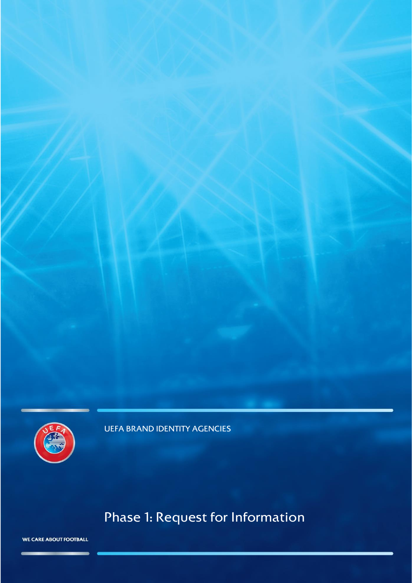

UEFA BRAND IDENTITY AGENCIES

# Phase 1: Request for Information

WE CARE ABOUT FOOTBALL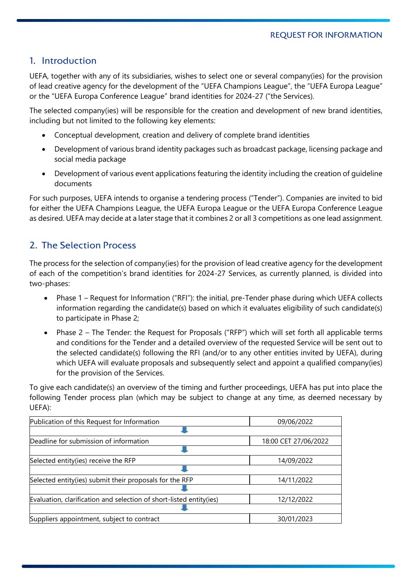# 1. Introduction

UEFA, together with any of its subsidiaries, wishes to select one or several company(ies) for the provision of lead creative agency for the development of the "UEFA Champions League", the "UEFA Europa League" or the "UEFA Europa Conference League" brand identities for 2024-27 ("the Services).

The selected company(ies) will be responsible for the creation and development of new brand identities, including but not limited to the following key elements:

- Conceptual development, creation and delivery of complete brand identities
- Development of various brand identity packages such as broadcast package, licensing package and social media package
- Development of various event applications featuring the identity including the creation of guideline documents

For such purposes, UEFA intends to organise a tendering process ("Tender"). Companies are invited to bid for either the UEFA Champions League, the UEFA Europa League or the UEFA Europa Conference League as desired. UEFA may decide at a later stage that it combines 2 or all 3 competitions as one lead assignment.

# 2. The Selection Process

The process for the selection of company(ies) for the provision of lead creative agency for the development of each of the competition's brand identities for 2024-27 Services, as currently planned, is divided into two-phases:

- Phase 1 Request for Information ("RFI"): the initial, pre-Tender phase during which UEFA collects information regarding the candidate(s) based on which it evaluates eligibility of such candidate(s) to participate in Phase 2;
- Phase 2 The Tender: the Request for Proposals ("RFP") which will set forth all applicable terms and conditions for the Tender and a detailed overview of the requested Service will be sent out to the selected candidate(s) following the RFI (and/or to any other entities invited by UEFA), during which UEFA will evaluate proposals and subsequently select and appoint a qualified company(ies) for the provision of the Services.

To give each candidate(s) an overview of the timing and further proceedings, UEFA has put into place the following Tender process plan (which may be subject to change at any time, as deemed necessary by UEFA):

| Publication of this Request for Information                         | 09/06/2022           |
|---------------------------------------------------------------------|----------------------|
|                                                                     |                      |
| Deadline for submission of information                              | 18:00 CET 27/06/2022 |
|                                                                     |                      |
| Selected entity(ies) receive the RFP                                | 14/09/2022           |
|                                                                     |                      |
| Selected entity(ies) submit their proposals for the RFP             | 14/11/2022           |
|                                                                     |                      |
| Evaluation, clarification and selection of short-listed entity(ies) | 12/12/2022           |
|                                                                     |                      |
| Suppliers appointment, subject to contract                          | 30/01/2023           |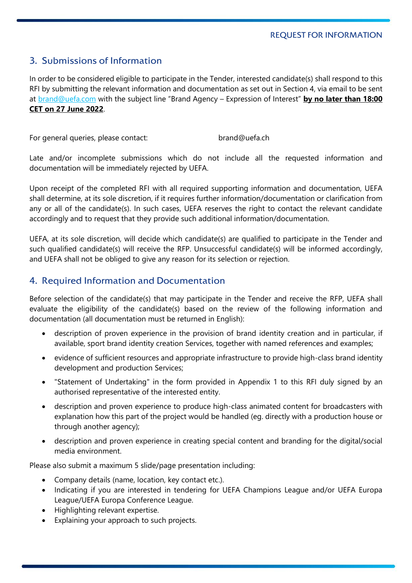# 3. Submissions of Information

In order to be considered eligible to participate in the Tender, interested candidate(s) shall respond to this RFI by submitting the relevant information and documentation as set out in Section 4, via email to be sent at [brand@uefa.com](mailto:brand@uefa.com) with the subject line "Brand Agency – Expression of Interest" **by no later than 18:00 CET on 27 June 2022**.

For general queries, please contact: brand@uefa.ch

Late and/or incomplete submissions which do not include all the requested information and documentation will be immediately rejected by UEFA.

Upon receipt of the completed RFI with all required supporting information and documentation, UEFA shall determine, at its sole discretion, if it requires further information/documentation or clarification from any or all of the candidate(s). In such cases, UEFA reserves the right to contact the relevant candidate accordingly and to request that they provide such additional information/documentation.

UEFA, at its sole discretion, will decide which candidate(s) are qualified to participate in the Tender and such qualified candidate(s) will receive the RFP. Unsuccessful candidate(s) will be informed accordingly, and UEFA shall not be obliged to give any reason for its selection or rejection.

# 4. Required Information and Documentation

Before selection of the candidate(s) that may participate in the Tender and receive the RFP, UEFA shall evaluate the eligibility of the candidate(s) based on the review of the following information and documentation (all documentation must be returned in English):

- description of proven experience in the provision of brand identity creation and in particular, if available, sport brand identity creation Services, together with named references and examples;
- evidence of sufficient resources and appropriate infrastructure to provide high-class brand identity development and production Services;
- "Statement of Undertaking" in the form provided in Appendix 1 to this RFI duly signed by an authorised representative of the interested entity.
- description and proven experience to produce high-class animated content for broadcasters with explanation how this part of the project would be handled (eg. directly with a production house or through another agency);
- description and proven experience in creating special content and branding for the digital/social media environment.

Please also submit a maximum 5 slide/page presentation including:

- Company details (name, location, key contact etc.).
- Indicating if you are interested in tendering for UEFA Champions League and/or UEFA Europa League/UEFA Europa Conference League.
- Highlighting relevant expertise.
- Explaining your approach to such projects.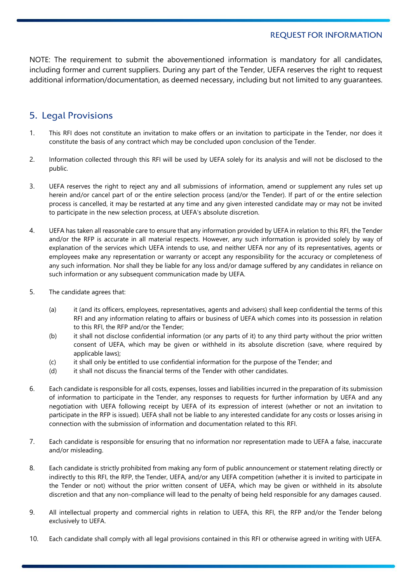#### REQUEST FOR INFORMATION

NOTE: The requirement to submit the abovementioned information is mandatory for all candidates, including former and current suppliers. During any part of the Tender, UEFA reserves the right to request additional information/documentation, as deemed necessary, including but not limited to any guarantees.

# 5. Legal Provisions

- 1. This RFI does not constitute an invitation to make offers or an invitation to participate in the Tender, nor does it constitute the basis of any contract which may be concluded upon conclusion of the Tender.
- 2. Information collected through this RFI will be used by UEFA solely for its analysis and will not be disclosed to the public.
- 3. UEFA reserves the right to reject any and all submissions of information, amend or supplement any rules set up herein and/or cancel part of or the entire selection process (and/or the Tender). If part of or the entire selection process is cancelled, it may be restarted at any time and any given interested candidate may or may not be invited to participate in the new selection process, at UEFA's absolute discretion.
- 4. UEFA has taken all reasonable care to ensure that any information provided by UEFA in relation to this RFI, the Tender and/or the RFP is accurate in all material respects. However, any such information is provided solely by way of explanation of the services which UEFA intends to use, and neither UEFA nor any of its representatives, agents or employees make any representation or warranty or accept any responsibility for the accuracy or completeness of any such information. Nor shall they be liable for any loss and/or damage suffered by any candidates in reliance on such information or any subsequent communication made by UEFA.
- 5. The candidate agrees that:
	- (a) it (and its officers, employees, representatives, agents and advisers) shall keep confidential the terms of this RFI and any information relating to affairs or business of UEFA which comes into its possession in relation to this RFI, the RFP and/or the Tender;
	- (b) it shall not disclose confidential information (or any parts of it) to any third party without the prior written consent of UEFA, which may be given or withheld in its absolute discretion (save, where required by applicable laws);
	- (c) it shall only be entitled to use confidential information for the purpose of the Tender; and
	- (d) it shall not discuss the financial terms of the Tender with other candidates.
- 6. Each candidate is responsible for all costs, expenses, losses and liabilities incurred in the preparation of its submission of information to participate in the Tender, any responses to requests for further information by UEFA and any negotiation with UEFA following receipt by UEFA of its expression of interest (whether or not an invitation to participate in the RFP is issued). UEFA shall not be liable to any interested candidate for any costs or losses arising in connection with the submission of information and documentation related to this RFI.
- 7. Each candidate is responsible for ensuring that no information nor representation made to UEFA a false, inaccurate and/or misleading.
- 8. Each candidate is strictly prohibited from making any form of public announcement or statement relating directly or indirectly to this RFI, the RFP, the Tender, UEFA, and/or any UEFA competition (whether it is invited to participate in the Tender or not) without the prior written consent of UEFA, which may be given or withheld in its absolute discretion and that any non-compliance will lead to the penalty of being held responsible for any damages caused.
- 9. All intellectual property and commercial rights in relation to UEFA, this RFI, the RFP and/or the Tender belong exclusively to UEFA.
- 10. Each candidate shall comply with all legal provisions contained in this RFI or otherwise agreed in writing with UEFA.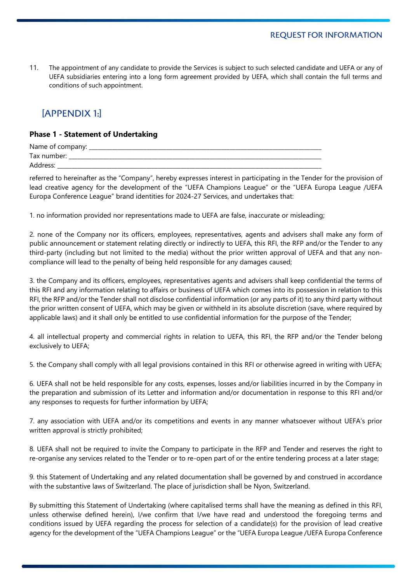11. The appointment of any candidate to provide the Services is subject to such selected candidate and UEFA or any of UEFA subsidiaries entering into a long form agreement provided by UEFA, which shall contain the full terms and conditions of such appointment.

# [APPENDIX 1:]

#### **Phase 1 - Statement of Undertaking**

| Name of company: |  |
|------------------|--|
| Tax number:      |  |
| Address:         |  |

referred to hereinafter as the "Company", hereby expresses interest in participating in the Tender for the provision of lead creative agency for the development of the "UEFA Champions League" or the "UEFA Europa League /UEFA Europa Conference League" brand identities for 2024-27 Services, and undertakes that:

1. no information provided nor representations made to UEFA are false, inaccurate or misleading;

2. none of the Company nor its officers, employees, representatives, agents and advisers shall make any form of public announcement or statement relating directly or indirectly to UEFA, this RFI, the RFP and/or the Tender to any third-party (including but not limited to the media) without the prior written approval of UEFA and that any noncompliance will lead to the penalty of being held responsible for any damages caused;

3. the Company and its officers, employees, representatives agents and advisers shall keep confidential the terms of this RFI and any information relating to affairs or business of UEFA which comes into its possession in relation to this RFI, the RFP and/or the Tender shall not disclose confidential information (or any parts of it) to any third party without the prior written consent of UEFA, which may be given or withheld in its absolute discretion (save, where required by applicable laws) and it shall only be entitled to use confidential information for the purpose of the Tender;

4. all intellectual property and commercial rights in relation to UEFA, this RFI, the RFP and/or the Tender belong exclusively to UEFA;

5. the Company shall comply with all legal provisions contained in this RFI or otherwise agreed in writing with UEFA;

6. UEFA shall not be held responsible for any costs, expenses, losses and/or liabilities incurred in by the Company in the preparation and submission of its Letter and information and/or documentation in response to this RFI and/or any responses to requests for further information by UEFA;

7. any association with UEFA and/or its competitions and events in any manner whatsoever without UEFA's prior written approval is strictly prohibited;

8. UEFA shall not be required to invite the Company to participate in the RFP and Tender and reserves the right to re-organise any services related to the Tender or to re-open part of or the entire tendering process at a later stage;

9. this Statement of Undertaking and any related documentation shall be governed by and construed in accordance with the substantive laws of Switzerland. The place of jurisdiction shall be Nyon, Switzerland.

By submitting this Statement of Undertaking (where capitalised terms shall have the meaning as defined in this RFI, unless otherwise defined herein), I/we confirm that I/we have read and understood the foregoing terms and conditions issued by UEFA regarding the process for selection of a candidate(s) for the provision of lead creative agency for the development of the "UEFA Champions League" or the "UEFA Europa League /UEFA Europa Conference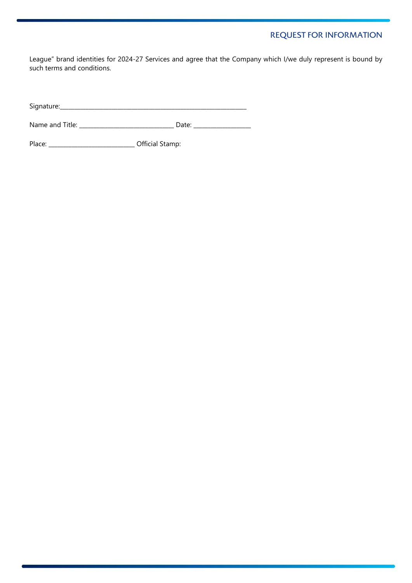### REQUEST FOR INFORMATION

League" brand identities for 2024-27 Services and agree that the Company which I/we duly represent is bound by such terms and conditions.

Signature:\_\_\_\_\_\_\_\_\_\_\_\_\_\_\_\_\_\_\_\_\_\_\_\_\_\_\_\_\_\_\_\_\_\_\_\_\_\_\_\_\_\_\_\_\_\_\_\_\_\_\_\_\_\_\_\_\_\_\_\_\_\_\_\_\_

Name and Title: \_\_\_\_\_\_\_\_\_\_\_\_\_\_\_\_\_\_\_\_\_\_\_\_\_\_\_\_\_\_\_\_\_\_\_ Date: \_\_\_\_\_\_\_\_\_\_\_\_\_\_\_\_\_\_\_\_\_\_\_

Place: \_\_\_\_\_\_\_\_\_\_\_\_\_\_\_\_\_\_\_\_\_\_\_\_\_\_\_\_\_\_\_\_\_\_\_ Official Stamp: